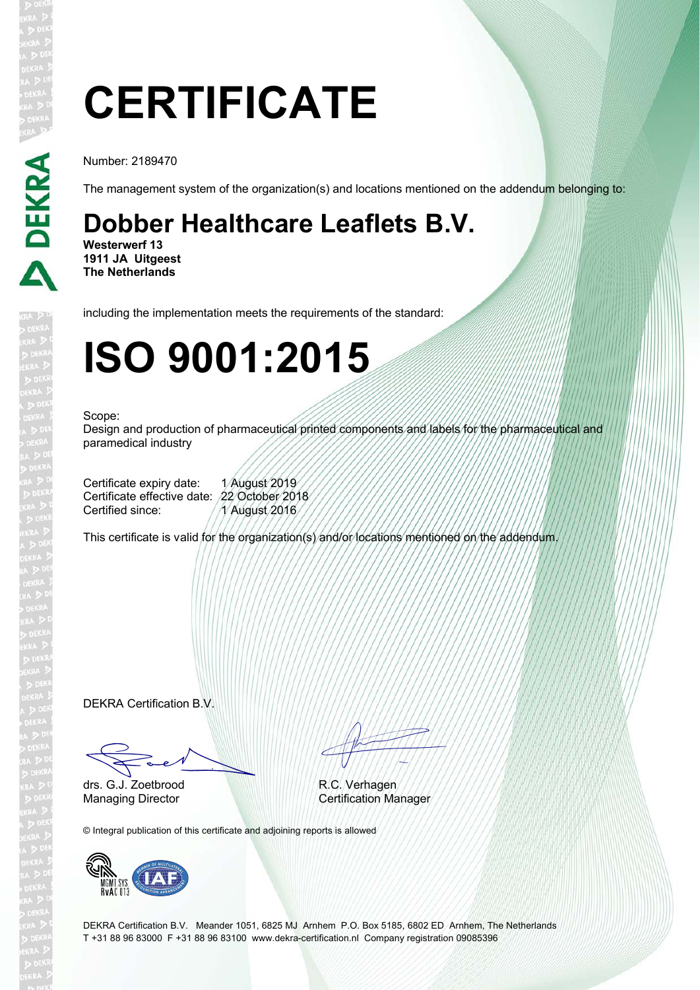# **CERTIFICATE**

Number: 2189470

The management system of the organization(s) and locations mentioned on the addendum belonging to:

## **Dobber Healthcare Leaflets B.V.**

**Westerwerf 13 1911 JA Uitgeest The Netherlands**

including the implementation meets the requirements of the standard:

## **ISO 9001:2015**

#### Scope:

Design and production of pharmaceutical printed components and labels for the pharmaceutical and paramedical industry

Certificate expiry date: 1 August 2019 Certificate effective date: 22 October 2018 Certified since: 1 August 2016

This certificate is valid for the organization(s) and/or locations mentioned on the addendum.

DEKRA Certification B.V.

Fact drs. G.J. Zoetbrood

EN TITULI

R.C. Verhagen Managing Director Certification Manager

© Integral publication of this certificate and adjoining reports is allowed



DEKRA Certification B.V. Meander 1051, 6825 MJ Arnhem P.O. Box 5185, 6802 ED Arnhem, The Netherlands T +31 88 96 83000 F +31 88 96 83100 www.dekra-certification.nl Company registration 09085396